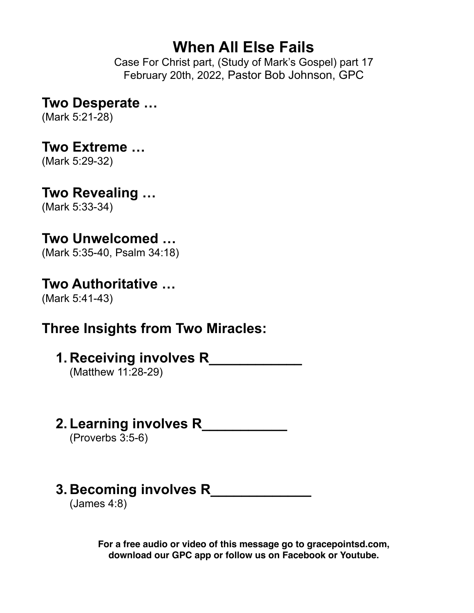# **When All Else Fails**

Case For Christ part, (Study of Mark's Gospel) part 17 February 20th, 2022, Pastor Bob Johnson, GPC

### **Two Desperate …**

(Mark 5:21-28)

### **Two Extreme …**

(Mark 5:29-32)

# **Two Revealing …**

(Mark 5:33-34)

# **Two Unwelcomed …**

(Mark 5:35-40, Psalm 34:18)

### **Two Authoritative …**

(Mark 5:41-43)

# **Three Insights from Two Miracles:**

**1. Receiving involves R\_\_\_\_\_\_\_\_\_\_\_\_**

(Matthew 11:28-29)

**2. Learning involves R\_\_\_\_\_\_\_\_\_\_\_**

(Proverbs 3:5-6)

# **3. Becoming involves R\_\_\_\_\_\_\_\_\_\_\_\_\_**

(James 4:8)

**For a free audio or video of this message go to gracepointsd.com, download our GPC app or follow us on Facebook or Youtube.**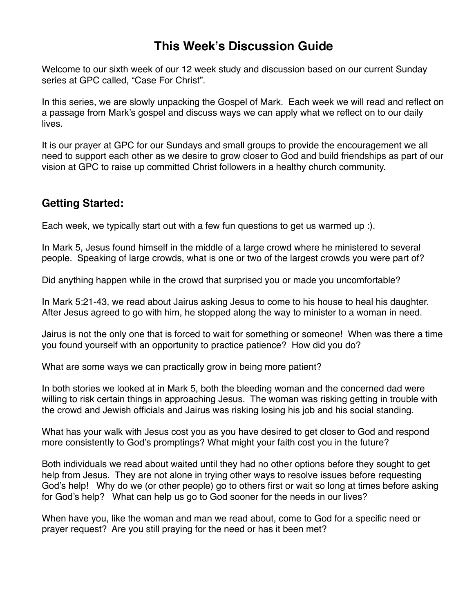#### **This Week's Discussion Guide**

Welcome to our sixth week of our 12 week study and discussion based on our current Sunday series at GPC called, "Case For Christ".

In this series, we are slowly unpacking the Gospel of Mark. Each week we will read and reflect on a passage from Mark's gospel and discuss ways we can apply what we reflect on to our daily lives.

It is our prayer at GPC for our Sundays and small groups to provide the encouragement we all need to support each other as we desire to grow closer to God and build friendships as part of our vision at GPC to raise up committed Christ followers in a healthy church community.

#### **Getting Started:**

Each week, we typically start out with a few fun questions to get us warmed up :).

In Mark 5, Jesus found himself in the middle of a large crowd where he ministered to several people. Speaking of large crowds, what is one or two of the largest crowds you were part of?

Did anything happen while in the crowd that surprised you or made you uncomfortable?

In Mark 5:21-43, we read about Jairus asking Jesus to come to his house to heal his daughter. After Jesus agreed to go with him, he stopped along the way to minister to a woman in need.

Jairus is not the only one that is forced to wait for something or someone! When was there a time you found yourself with an opportunity to practice patience? How did you do?

What are some ways we can practically grow in being more patient?

In both stories we looked at in Mark 5, both the bleeding woman and the concerned dad were willing to risk certain things in approaching Jesus. The woman was risking getting in trouble with the crowd and Jewish officials and Jairus was risking losing his job and his social standing.

What has your walk with Jesus cost you as you have desired to get closer to God and respond more consistently to God's promptings? What might your faith cost you in the future?

Both individuals we read about waited until they had no other options before they sought to get help from Jesus. They are not alone in trying other ways to resolve issues before requesting God's help! Why do we (or other people) go to others first or wait so long at times before asking for God's help? What can help us go to God sooner for the needs in our lives?

When have you, like the woman and man we read about, come to God for a specific need or prayer request? Are you still praying for the need or has it been met?